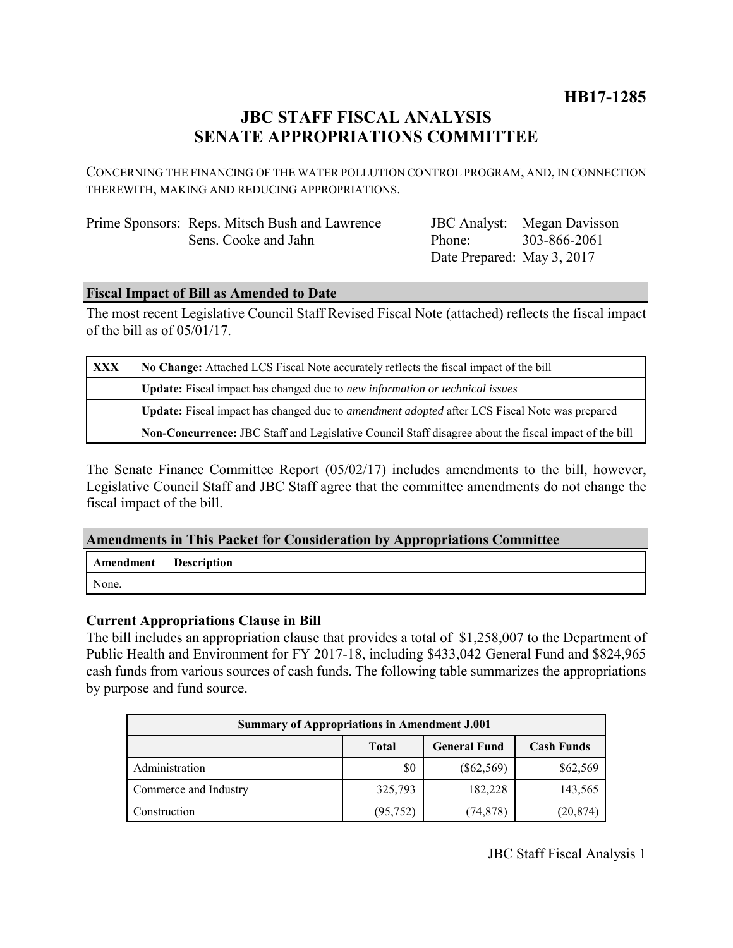# **JBC STAFF FISCAL ANALYSIS SENATE APPROPRIATIONS COMMITTEE**

CONCERNING THE FINANCING OF THE WATER POLLUTION CONTROL PROGRAM, AND, IN CONNECTION THEREWITH, MAKING AND REDUCING APPROPRIATIONS.

| Prime Sponsors: Reps. Mitsch Bush and Lawrence |
|------------------------------------------------|
| Sens. Cooke and Jahn                           |

JBC Analyst: Megan Davisson Phone: Date Prepared: May 3, 2017 303-866-2061

# **Fiscal Impact of Bill as Amended to Date**

The most recent Legislative Council Staff Revised Fiscal Note (attached) reflects the fiscal impact of the bill as of 05/01/17.

| <b>XXX</b> | No Change: Attached LCS Fiscal Note accurately reflects the fiscal impact of the bill                 |  |  |
|------------|-------------------------------------------------------------------------------------------------------|--|--|
|            | Update: Fiscal impact has changed due to new information or technical issues                          |  |  |
|            | Update: Fiscal impact has changed due to <i>amendment adopted</i> after LCS Fiscal Note was prepared  |  |  |
|            | Non-Concurrence: JBC Staff and Legislative Council Staff disagree about the fiscal impact of the bill |  |  |

The Senate Finance Committee Report (05/02/17) includes amendments to the bill, however, Legislative Council Staff and JBC Staff agree that the committee amendments do not change the fiscal impact of the bill.

## **Amendments in This Packet for Consideration by Appropriations Committee**

|       | <b>Amendment</b> Description |
|-------|------------------------------|
| None. |                              |

# **Current Appropriations Clause in Bill**

The bill includes an appropriation clause that provides a total of \$1,258,007 to the Department of Public Health and Environment for FY 2017-18, including \$433,042 General Fund and \$824,965 cash funds from various sources of cash funds. The following table summarizes the appropriations by purpose and fund source.

| <b>Summary of Appropriations in Amendment J.001</b> |              |                     |                   |  |  |  |
|-----------------------------------------------------|--------------|---------------------|-------------------|--|--|--|
|                                                     | <b>Total</b> | <b>General Fund</b> | <b>Cash Funds</b> |  |  |  |
| Administration                                      | \$0          | $(\$62,569)$        | \$62,569          |  |  |  |
| Commerce and Industry                               | 325,793      | 182,228             | 143,565           |  |  |  |
| Construction                                        | (95, 752)    | (74, 878)           | (20, 874)         |  |  |  |